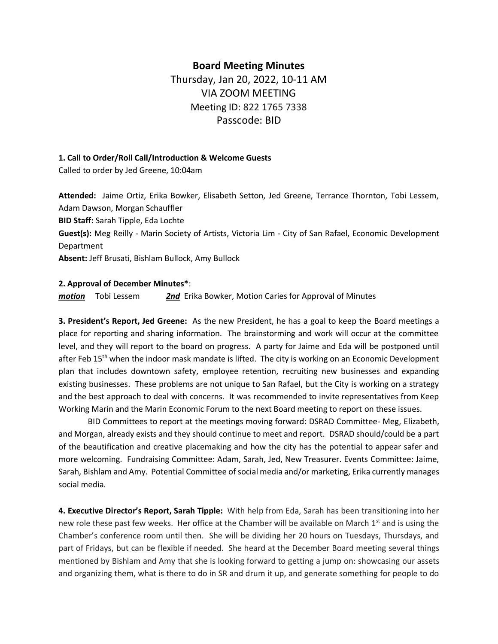## **Board Meeting Minutes**

Thursday, Jan 20, 2022, 10-11 AM VIA ZOOM MEETING Meeting ID: 822 1765 7338 Passcode: BID

## **1. Call to Order/Roll Call/Introduction & Welcome Guests**

Called to order by Jed Greene, 10:04am

**Attended:** Jaime Ortiz, Erika Bowker, Elisabeth Setton, Jed Greene, Terrance Thornton, Tobi Lessem, Adam Dawson, Morgan Schauffler **BID Staff:** Sarah Tipple, Eda Lochte **Guest(s):** Meg Reilly - Marin Society of Artists, Victoria Lim - City of San Rafael, Economic Development Department **Absent:** Jeff Brusati, Bishlam Bullock, Amy Bullock

## **2. Approval of December Minutes\***:

*motion* Tobi Lessem *2nd* Erika Bowker, Motion Caries for Approval of Minutes

**3. President's Report, Jed Greene:** As the new President, he has a goal to keep the Board meetings a place for reporting and sharing information. The brainstorming and work will occur at the committee level, and they will report to the board on progress. A party for Jaime and Eda will be postponed until after Feb 15<sup>th</sup> when the indoor mask mandate is lifted. The city is working on an Economic Development plan that includes downtown safety, employee retention, recruiting new businesses and expanding existing businesses. These problems are not unique to San Rafael, but the City is working on a strategy and the best approach to deal with concerns. It was recommended to invite representatives from Keep Working Marin and the Marin Economic Forum to the next Board meeting to report on these issues.

BID Committees to report at the meetings moving forward: DSRAD Committee- Meg, Elizabeth, and Morgan, already exists and they should continue to meet and report. DSRAD should/could be a part of the beautification and creative placemaking and how the city has the potential to appear safer and more welcoming. Fundraising Committee: Adam, Sarah, Jed, New Treasurer. Events Committee: Jaime, Sarah, Bishlam and Amy. Potential Committee of social media and/or marketing, Erika currently manages social media.

**4. Executive Director's Report, Sarah Tipple:** With help from Eda, Sarah has been transitioning into her new role these past few weeks. Her office at the Chamber will be available on March 1<sup>st</sup> and is using the Chamber's conference room until then. She will be dividing her 20 hours on Tuesdays, Thursdays, and part of Fridays, but can be flexible if needed. She heard at the December Board meeting several things mentioned by Bishlam and Amy that she is looking forward to getting a jump on: showcasing our assets and organizing them, what is there to do in SR and drum it up, and generate something for people to do